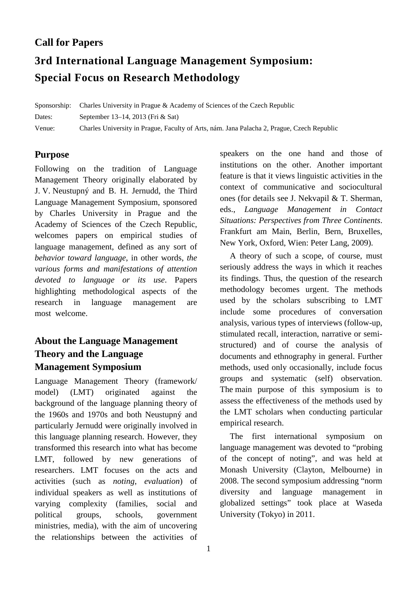## **Call for Papers**

# **3rd International Language Management Symposium: Special Focus on Research Methodology**

Sponsorship: Charles University in Prague & Academy of Sciences of the Czech Republic Dates: September 13–14, 2013 (Fri & Sat) Venue: Charles University in Prague, Faculty of Arts, nám. Jana Palacha 2, Prague, Czech Republic

## **Purpose**

Following on the tradition of Language Management Theory originally elaborated by J. V. Neustupný and B. H. Jernudd, the Third Language Management Symposium, sponsored by Charles University in Prague and the Academy of Sciences of the Czech Republic, welcomes papers on empirical studies of language management, defined as any sort of *behavior toward language*, in other words, *the various forms and manifestations of attention devoted to language or its use*. Papers highlighting methodological aspects of the research in language management are most welcome.

# **About the Language Management Theory and the Language Management Symposium**

Language Management Theory (framework/ model) (LMT) originated against the background of the language planning theory of the 1960s and 1970s and both Neustupný and particularly Jernudd were originally involved in this language planning research. However, they transformed this research into what has become LMT, followed by new generations of researchers. LMT focuses on the acts and activities (such as *noting*, *evaluation*) of individual speakers as well as institutions of varying complexity (families, social and political groups, schools, government ministries, media), with the aim of uncovering the relationships between the activities of speakers on the one hand and those of institutions on the other. Another important feature is that it views linguistic activities in the context of communicative and sociocultural ones (for details see J. Nekvapil & T. Sherman, eds., *Language Management in Contact Situations: Perspectives from Three Continents*. Frankfurt am Main, Berlin, Bern, Bruxelles, New York, Oxford, Wien: Peter Lang, 2009).

A theory of such a scope, of course, must seriously address the ways in which it reaches its findings. Thus, the question of the research methodology becomes urgent. The methods used by the scholars subscribing to LMT include some procedures of conversation analysis, various types of interviews (follow-up, stimulated recall, interaction, narrative or semistructured) and of course the analysis of documents and ethnography in general. Further methods, used only occasionally, include focus groups and systematic (self) observation. The main purpose of this symposium is to assess the effectiveness of the methods used by the LMT scholars when conducting particular empirical research.

The first international symposium on language management was devoted to "probing of the concept of noting", and was held at Monash University (Clayton, Melbourne) in 2008. The second symposium addressing "norm diversity and language management in globalized settings" took place at Waseda University (Tokyo) in 2011.